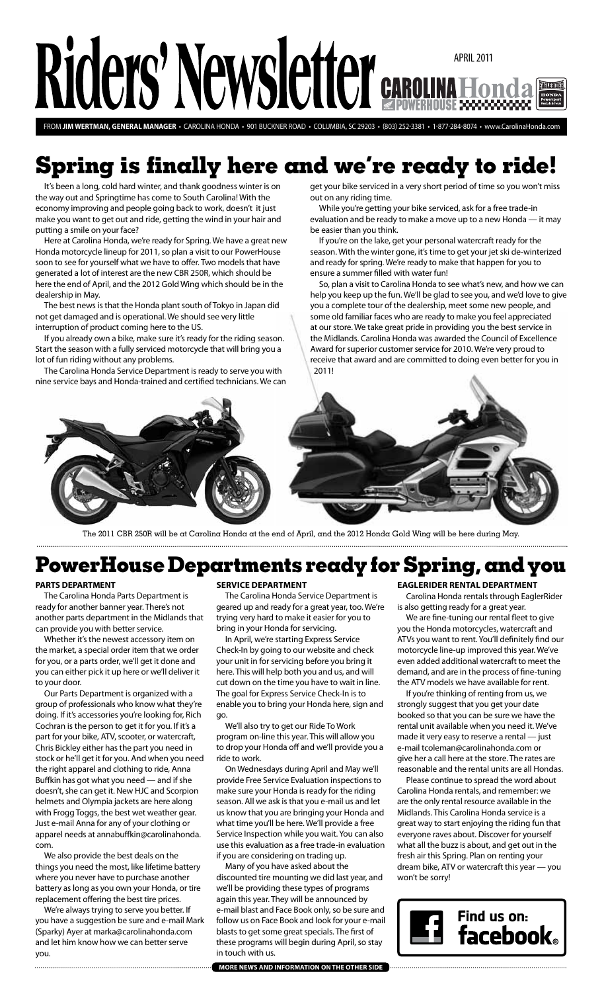# Riders' Newsletter april 2011 **EAGLERIDER**

from **Jim wertman, general manager** • carolina honda • 901 Buckner Road • Columbia, SC 29203 • (803) 252-3381 • 1-877-284-8074 • www.CarolinaHonda.com

# **Spring is finally here and we're ready to ride!**

It's been a long, cold hard winter, and thank goodness winter is on the way out and Springtime has come to South Carolina! With the economy improving and people going back to work, doesn't it just make you want to get out and ride, getting the wind in your hair and putting a smile on your face?

Here at Carolina Honda, we're ready for Spring. We have a great new Honda motorcycle lineup for 2011, so plan a visit to our PowerHouse soon to see for yourself what we have to offer. Two models that have generated a lot of interest are the new CBR 250R, which should be here the end of April, and the 2012 Gold Wing which should be in the dealership in May.

The best news is that the Honda plant south of Tokyo in Japan did not get damaged and is operational. We should see very little interruption of product coming here to the US.

If you already own a bike, make sure it's ready for the riding season. Start the season with a fully serviced motorcycle that will bring you a lot of fun riding without any problems.

The Carolina Honda Service Department is ready to serve you with nine service bays and Honda-trained and certified technicians. We can get your bike serviced in a very short period of time so you won't miss out on any riding time.

While you're getting your bike serviced, ask for a free trade-in evaluation and be ready to make a move up to a new Honda — it may be easier than you think.

If you're on the lake, get your personal watercraft ready for the season. With the winter gone, it's time to get your jet ski de-winterized and ready for spring. We're ready to make that happen for you to ensure a summer filled with water fun!

So, plan a visit to Carolina Honda to see what's new, and how we can help you keep up the fun. We'll be glad to see you, and we'd love to give you a complete tour of the dealership, meet some new people, and some old familiar faces who are ready to make you feel appreciated at our store. We take great pride in providing you the best service in the Midlands. Carolina Honda was awarded the Council of Excellence Award for superior customer service for 2010. We're very proud to receive that award and are committed to doing even better for you in 2011!



The 2011 CBR 250R will be at Carolina Honda at the end of April, and the 2012 Honda Gold Wing will be here during May.

# **PowerHouse Departments ready for Spring, and you**

### **PARTS DEPARTMENT**

The Carolina Honda Parts Department is ready for another banner year. There's not another parts department in the Midlands that can provide you with better service.

Whether it's the newest accessory item on the market, a special order item that we order for you, or a parts order, we'll get it done and you can either pick it up here or we'll deliver it to your door.

Our Parts Department is organized with a group of professionals who know what they're doing. If it's accessories you're looking for, Rich Cochran is the person to get it for you. If it's a part for your bike, ATV, scooter, or watercraft, Chris Bickley either has the part you need in stock or he'll get it for you. And when you need the right apparel and clothing to ride, Anna Buffkin has got what you need — and if she doesn't, she can get it. New HJC and Scorpion helmets and Olympia jackets are here along with Frogg Toggs, the best wet weather gear. Just e-mail Anna for any of your clothing or apparel needs at annabuffkin@carolinahonda. com.

We also provide the best deals on the things you need the most, like lifetime battery where you never have to purchase another battery as long as you own your Honda, or tire replacement offering the best tire prices.

We're always trying to serve you better. If you have a suggestion be sure and e-mail Mark (Sparky) Ayer at marka@carolinahonda.com and let him know how we can better serve you.

## **service department**

The Carolina Honda Service Department is geared up and ready for a great year, too. We're trying very hard to make it easier for you to bring in your Honda for servicing.

In April, we're starting Express Service Check-In by going to our website and check your unit in for servicing before you bring it here. This will help both you and us, and will cut down on the time you have to wait in line. The goal for Express Service Check-In is to enable you to bring your Honda here, sign and go.

We'll also try to get our Ride To Work program on-line this year. This will allow you to drop your Honda off and we'll provide you a ride to work.

On Wednesdays during April and May we'll provide Free Service Evaluation inspections to make sure your Honda is ready for the riding season. All we ask is that you e-mail us and let us know that you are bringing your Honda and what time you'll be here. We'll provide a free Service Inspection while you wait. You can also use this evaluation as a free trade-in evaluation if you are considering on trading up.

Many of you have asked about the discounted tire mounting we did last year, and we'll be providing these types of programs again this year. They will be announced by e-mail blast and Face Book only, so be sure and follow us on Face Book and look for your e-mail blasts to get some great specials. The first of these programs will begin during April, so stay in touch with us.

**more news and information on the other side**

## **eaglerider rental department**

Carolina Honda rentals through EaglerRider is also getting ready for a great year.

We are fine-tuning our rental fleet to give you the Honda motorcycles, watercraft and ATVs you want to rent. You'll definitely find our motorcycle line-up improved this year. We've even added additional watercraft to meet the demand, and are in the process of fine-tuning the ATV models we have available for rent.

If you're thinking of renting from us, we strongly suggest that you get your date booked so that you can be sure we have the rental unit available when you need it. We've made it very easy to reserve a rental — just e-mail tcoleman@carolinahonda.com or give her a call here at the store. The rates are reasonable and the rental units are all Hondas.

Please continue to spread the word about Carolina Honda rentals, and remember: we are the only rental resource available in the Midlands. This Carolina Honda service is a great way to start enjoying the riding fun that everyone raves about. Discover for yourself what all the buzz is about, and get out in the fresh air this Spring. Plan on renting your dream bike, ATV or watercraft this year — you won't be sorry!